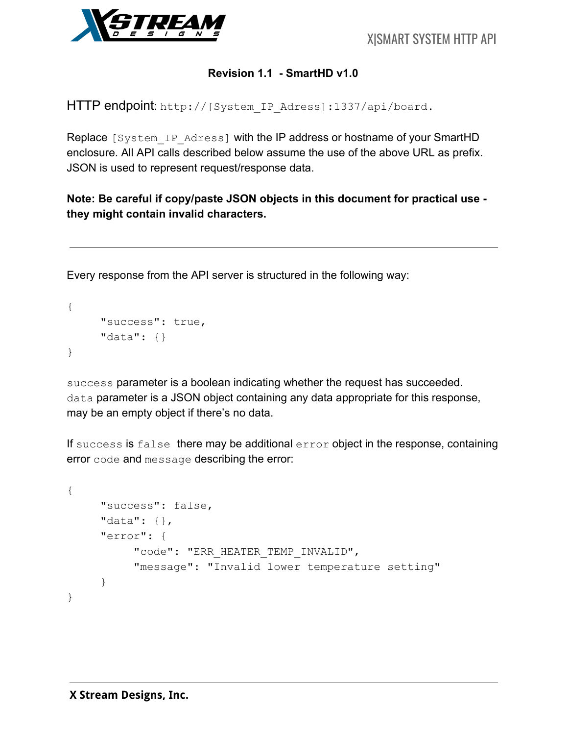

### **Revision 1.1 - SmartHD v1.0**

HTTP endpoint: http://[System\_IP\_Adress]:1337/api/board.

Replace [System\_IP\_Adress] with the IP address or hostname of your SmartHD enclosure. All API calls described below assume the use of the above URL as prefix. JSON is used to represent request/response data.

**Note: Be careful if copy/paste JSON objects in this document for practical use they might contain invalid characters.**

Every response from the API server is structured in the following way:

```
{
     "success": true,
     "data": {}
}
```
success parameter is a boolean indicating whether the request has succeeded. data parameter is a JSON object containing any data appropriate for this response, may be an empty object if there's no data.

If success is false there may be additional error object in the response, containing error code and message describing the error:

```
{
     "success": false,
     "data": {},
     "error": {
          "code": "ERR HEATER TEMP INVALID",
          "message": "Invalid lower temperature setting"
     }
}
```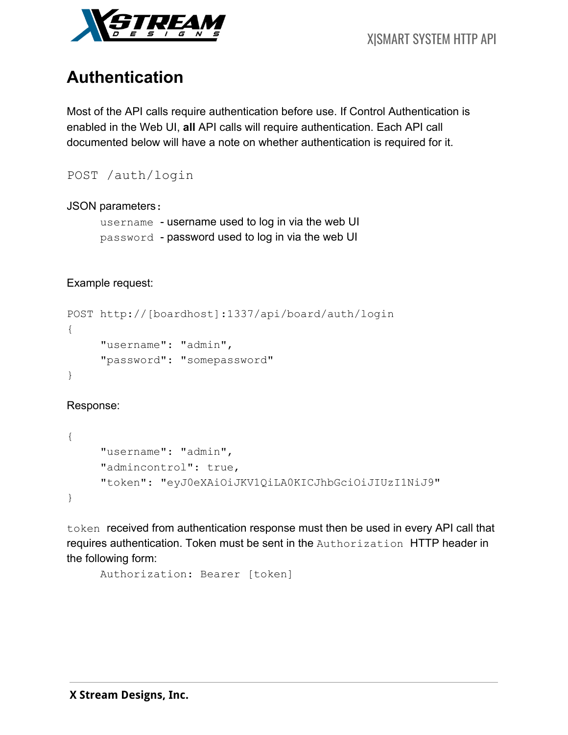

# **Authentication**

Most of the API calls require authentication before use. If Control Authentication is enabled in the Web UI, **all** API calls will require authentication. Each API call documented below will have a note on whether authentication is required for it.

```
POST /auth/login
```
### JSON parameters:

```
username - username used to log in via the web UI
password - password used to log in via the web UI
```
### Example request:

```
POST http://[boardhost]:1337/api/board/auth/login
{
     "username": "admin",
     "password": "somepassword"
}
```
Response:

```
{
     "username": "admin",
     "admincontrol": true,
     "token": "eyJ0eXAiOiJKV1QiLA0KICJhbGciOiJIUzI1NiJ9"
}
```
token received from authentication response must then be used in every API call that requires authentication. Token must be sent in the Authorization HTTP header in the following form:

```
Authorization: Bearer [token]
```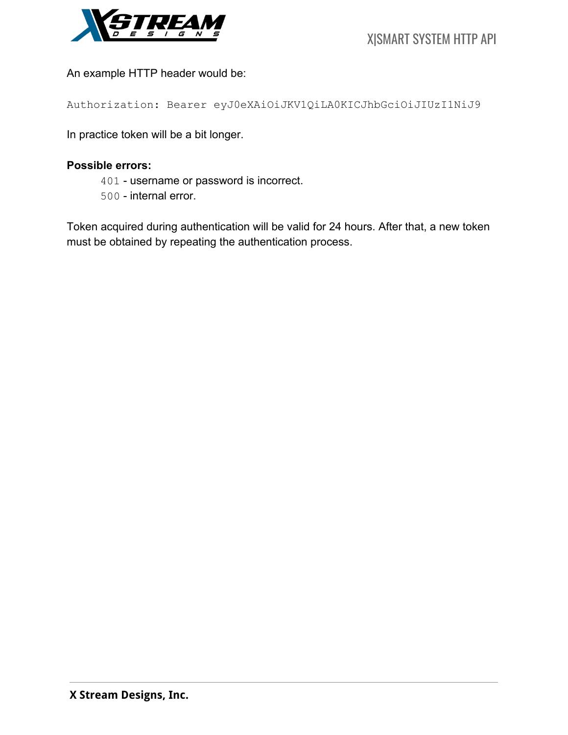

An example HTTP header would be:

Authorization: Bearer eyJ0eXAiOiJKV1QiLA0KICJhbGciOiJIUzI1NiJ9

In practice token will be a bit longer.

### **Possible errors:**

- 401 username or password is incorrect.
- 500 internal error.

Token acquired during authentication will be valid for 24 hours. After that, a new token must be obtained by repeating the authentication process.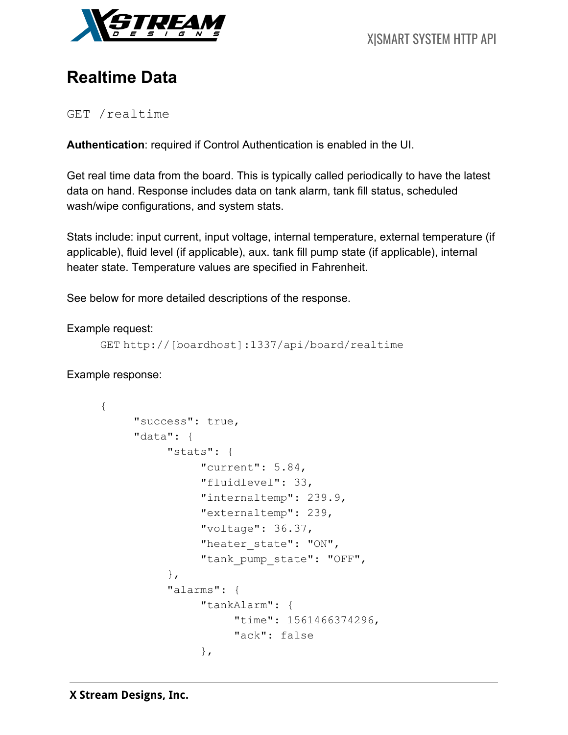

# **Realtime Data**

GET /realtime

**Authentication**: required if Control Authentication is enabled in the UI.

Get real time data from the board. This is typically called periodically to have the latest data on hand. Response includes data on tank alarm, tank fill status, scheduled wash/wipe configurations, and system stats.

Stats include: input current, input voltage, internal temperature, external temperature (if applicable), fluid level (if applicable), aux. tank fill pump state (if applicable), internal heater state. Temperature values are specified in Fahrenheit.

See below for more detailed descriptions of the response.

### Example request:

```
GET http://[boardhost]:1337/api/board/realtime
```
Example response:

```
{
     "success": true,
     "data": {
          "stats": {
               "current": 5.84,
               "fluidlevel": 33,
               "internaltemp": 239.9,
               "externaltemp": 239,
               "voltage": 36.37,
               "heater state": "ON",
               "tank pump state": "OFF",
          },
          "alarms": {
               "tankAlarm": {
                     "time": 1561466374296,
                     "ack": false
               },
```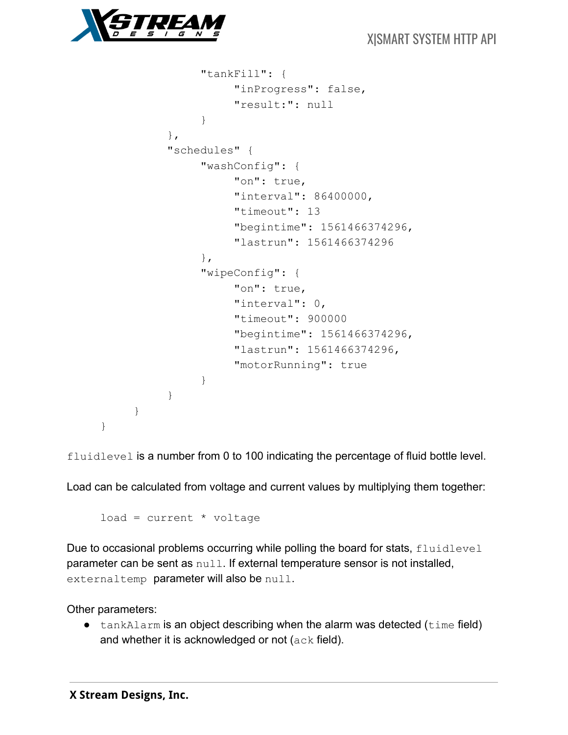

```
"tankFill": {
                     "inProgress": false,
                     "result:": null
               }
          },
          "schedules" {
               "washConfig": {
                     "on": true,
                     "interval": 86400000,
                     "timeout": 13
                     "begintime": 1561466374296,
                     "lastrun": 1561466374296
               },
               "wipeConfig": {
                     "on": true,
                     "interval": 0,
                     "timeout": 900000
                     "begintime": 1561466374296,
                     "lastrun": 1561466374296,
                     "motorRunning": true
               }
          }
     }
}
```
fluidlevel is a number from 0 to 100 indicating the percentage of fluid bottle level.

Load can be calculated from voltage and current values by multiplying them together:

 $load = current * voltage$ 

Due to occasional problems occurring while polling the board for stats, fluidlevel parameter can be sent as null. If external temperature sensor is not installed, externaltemp parameter will also be null.

Other parameters:

• tankAlarm is an object describing when the alarm was detected (time field) and whether it is acknowledged or not (ack field).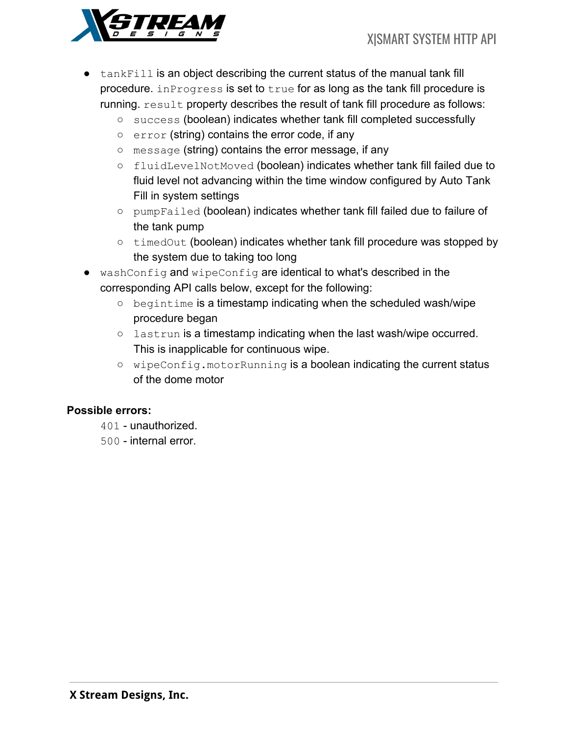

- $\bullet$  tankFill is an object describing the current status of the manual tank fill procedure. inProgress is set to true for as long as the tank fill procedure is running. result property describes the result of tank fill procedure as follows:
	- success (boolean) indicates whether tank fill completed successfully
	- error (string) contains the error code, if any
	- message (string) contains the error message, if any
	- fluidLevelNotMoved (boolean) indicates whether tank fill failed due to fluid level not advancing within the time window configured by Auto Tank Fill in system settings
	- pumpFailed (boolean) indicates whether tank fill failed due to failure of the tank pump
	- timedOut (boolean) indicates whether tank fill procedure was stopped by the system due to taking too long
- washConfig and wipeConfig are identical to what's described in the corresponding API calls below, except for the following:
	- begintime is a timestamp indicating when the scheduled wash/wipe procedure began
	- o lastrun is a timestamp indicating when the last wash/wipe occurred. This is inapplicable for continuous wipe.
	- wipeConfig.motorRunning is a boolean indicating the current status of the dome motor

### **Possible errors:**

- 401 unauthorized.
- 500 internal error.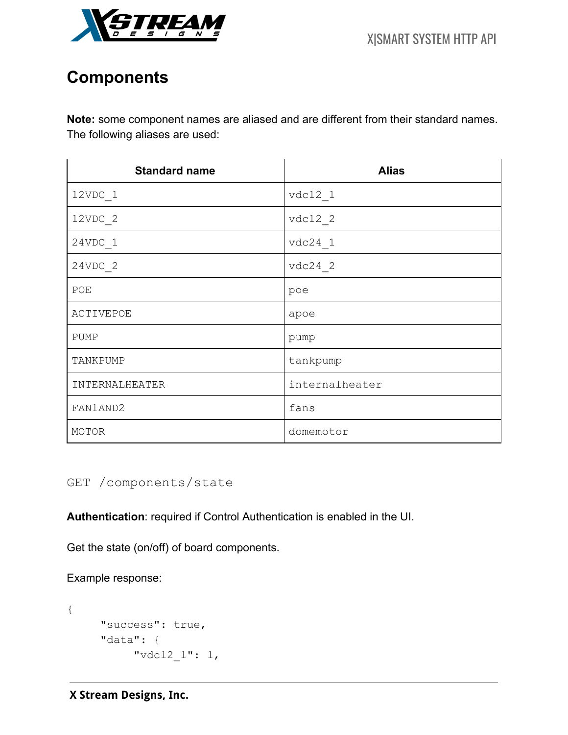

# **Components**

**Note:** some component names are aliased and are different from their standard names. The following aliases are used:

| <b>Standard name</b> | <b>Alias</b>   |
|----------------------|----------------|
| $12VDC_1$            | $vdc12_1$      |
| $12VDC_2$            | $vdc12_2$      |
| $24VDC_1$            | $vdc24$ 1      |
| $24VDC_2$            | $vdc24$ 2      |
| POE                  | poe            |
| ACTIVEPOE            | apoe           |
| PUMP                 | pump           |
| TANKPUMP             | tankpump       |
| INTERNALHEATER       | internalheater |
| FAN1AND2             | fans           |
| MOTOR                | domemotor      |

GET /components/state

**Authentication**: required if Control Authentication is enabled in the UI.

Get the state (on/off) of board components.

Example response:

```
{
     "success": true,
     "data": {
          "vdc12_1": 1,
```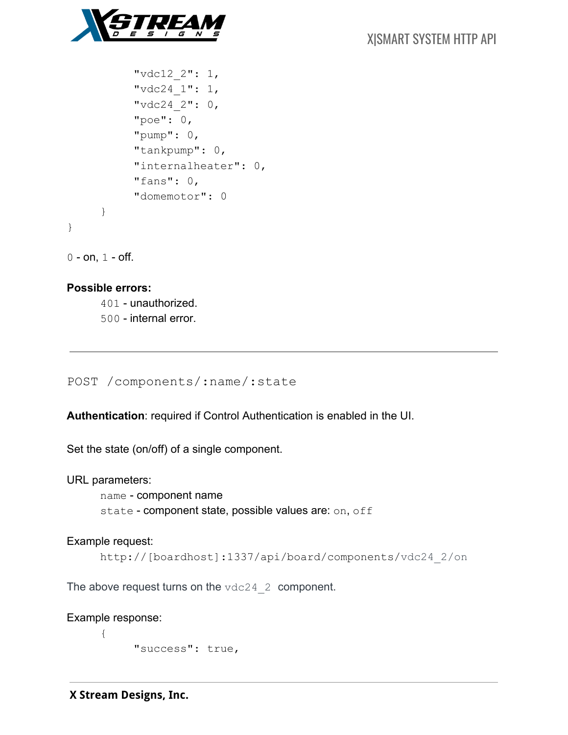

```
"vdc12_2": 1,
          "vdc24_1": 1,
          "vdc24_2": 0,
          "poe": 0,"pump": 0,"tankpump": 0,
          "internalheater": 0,
          "fans": 0,"domemotor": 0
     }
}
```
 $0 - on, 1 - off.$ 

### **Possible errors:**

401 - unauthorized. 500 - internal error.

POST /components/:name/:state

**Authentication**: required if Control Authentication is enabled in the UI.

Set the state (on/off) of a single component.

URL parameters:

name - component name state - component state, possible values are: on, off

#### Example request:

http://[boardhost]:1337/api/board/components/vdc24\_2/on

The above request turns on the  $\text{vdc24}$  2 component.

Example response:

{

"success": true,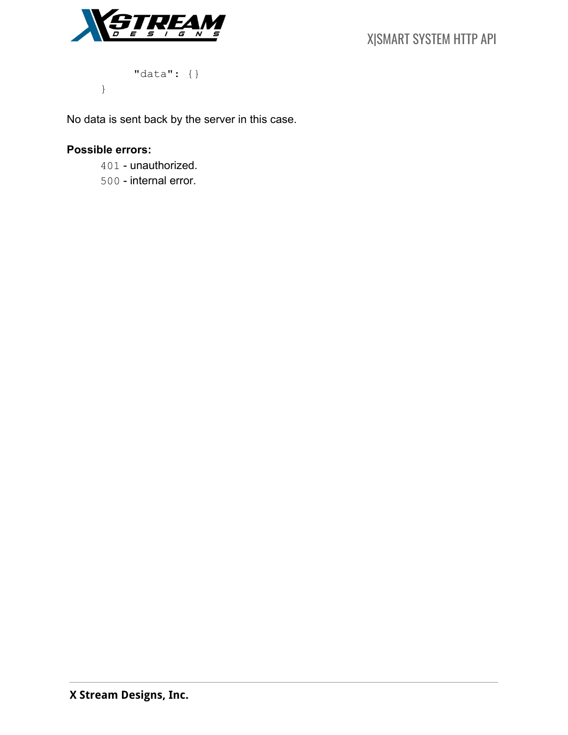



"data": {}

No data is sent back by the server in this case.

## **Possible errors:**

}

401 - unauthorized.

500 - internal error.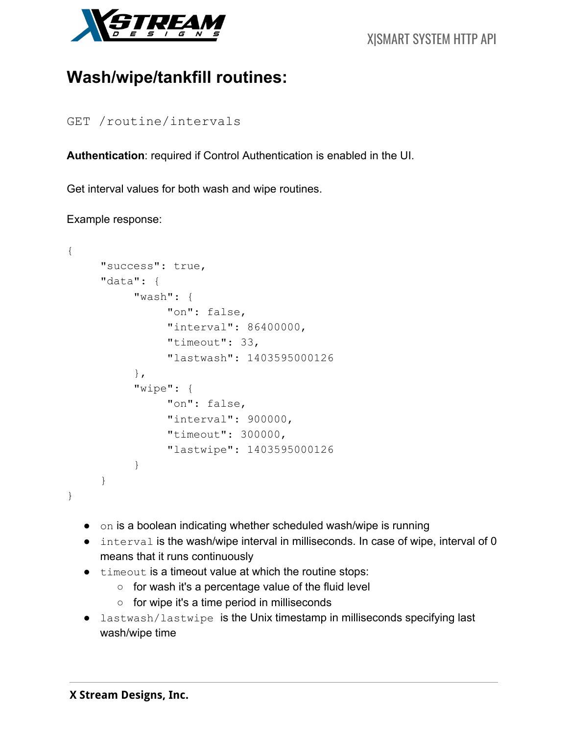

# **Wash/wipe/tankfill routines:**

GET /routine/intervals

**Authentication**: required if Control Authentication is enabled in the UI.

Get interval values for both wash and wipe routines.

### Example response:

```
{
     "success": true,
     "data": {
          "wash": {
                "on": false,
                "interval": 86400000,
               "timeout": 33,
                "lastwash": 1403595000126
          },
          "wipe": {
               "on": false,
                "interval": 900000,
               "timeout": 300000,
               "lastwipe": 1403595000126
          }
     }
}
```
- on is a boolean indicating whether scheduled wash/wipe is running
- interval is the wash/wipe interval in milliseconds. In case of wipe, interval of 0 means that it runs continuously
- timeout is a timeout value at which the routine stops:
	- for wash it's a percentage value of the fluid level
	- for wipe it's a time period in milliseconds
- lastwash/lastwipe is the Unix timestamp in milliseconds specifying last wash/wipe time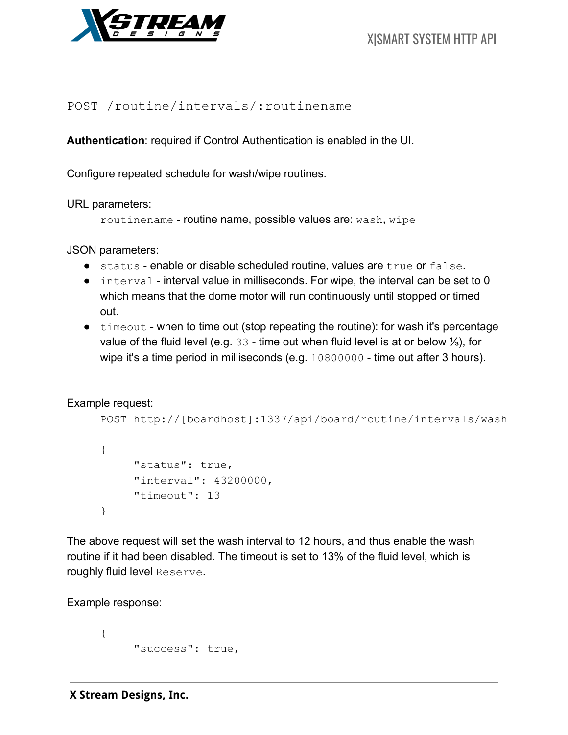

## POST /routine/intervals/:routinename

**Authentication**: required if Control Authentication is enabled in the UI.

Configure repeated schedule for wash/wipe routines.

URL parameters:

routinename - routine name, possible values are: wash, wipe

JSON parameters:

- status enable or disable scheduled routine, values are true or false.
- interval interval value in milliseconds. For wipe, the interval can be set to 0 which means that the dome motor will run continuously until stopped or timed out.
- timeout when to time out (stop repeating the routine): for wash it's percentage value of the fluid level (e.g. 33 - time out when fluid level is at or below ⅓), for wipe it's a time period in milliseconds (e.g. 10800000 - time out after 3 hours).

Example request:

```
POST http://[boardhost]:1337/api/board/routine/intervals/wash
```

```
{
     "status": true,
     "interval": 43200000,
     "timeout": 13
}
```
The above request will set the wash interval to 12 hours, and thus enable the wash routine if it had been disabled. The timeout is set to 13% of the fluid level, which is roughly fluid level Reserve.

Example response:

```
{
     "success": true,
```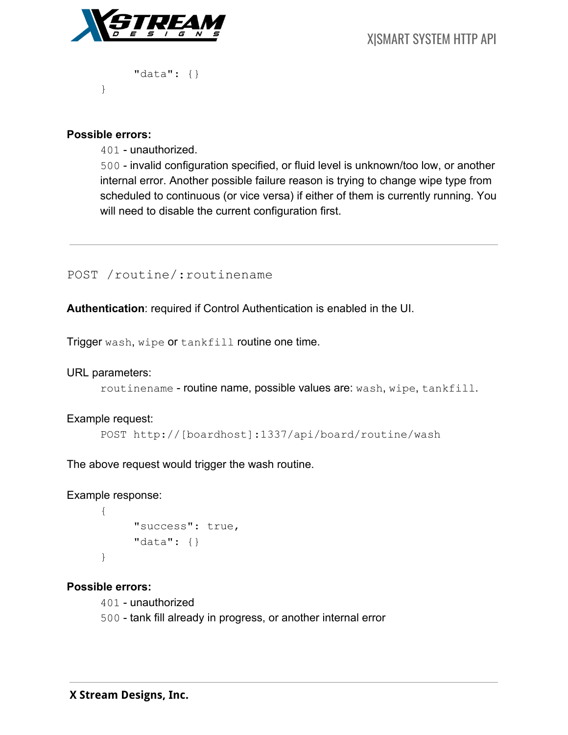

"data": {}

#### **Possible errors:**

}

401 - unauthorized.

500 - invalid configuration specified, or fluid level is unknown/too low, or another internal error. Another possible failure reason is trying to change wipe type from scheduled to continuous (or vice versa) if either of them is currently running. You will need to disable the current configuration first.

### POST /routine/:routinename

**Authentication**: required if Control Authentication is enabled in the UI.

Trigger wash, wipe or tankfill routine one time.

URL parameters:

routinename - routine name, possible values are: wash, wipe, tankfill.

#### Example request:

POST http://[boardhost]:1337/api/board/routine/wash

The above request would trigger the wash routine.

Example response:

```
{
     "success": true,
     "data": {}
}
```
#### **Possible errors:**

401 - unauthorized

500 - tank fill already in progress, or another internal error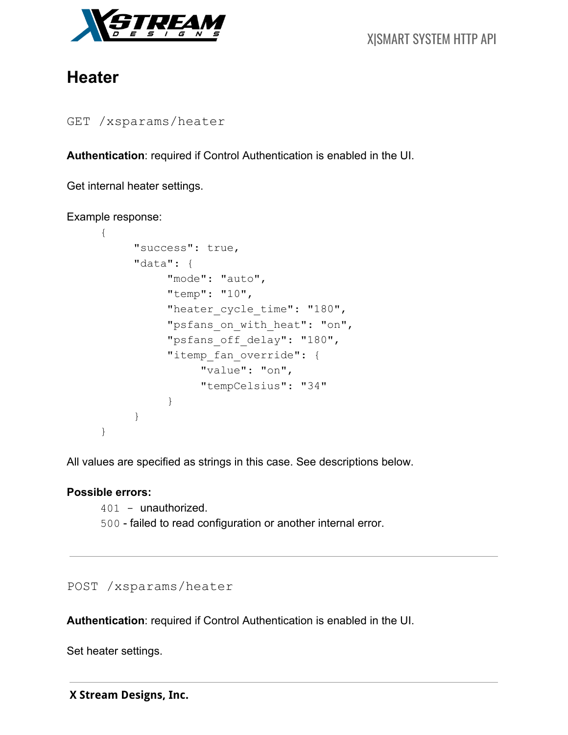

# **Heater**

```
GET /xsparams/heater
```
**Authentication**: required if Control Authentication is enabled in the UI.

Get internal heater settings.

### Example response:

```
{
     "success": true,
     "data": {
          "mode": "auto",
          "temp": "10",
          "heater cycle time": "180",
          "psfans on with heat": "on",
          "psfans off delay": "180",
          "itemp_fan_override": {
               "value": "on",
               "tempCelsius": "34"
          }
     }
}
```
All values are specified as strings in this case. See descriptions below.

### **Possible errors:**

401 - unauthorized. 500 - failed to read configuration or another internal error.

## POST /xsparams/heater

**Authentication**: required if Control Authentication is enabled in the UI.

Set heater settings.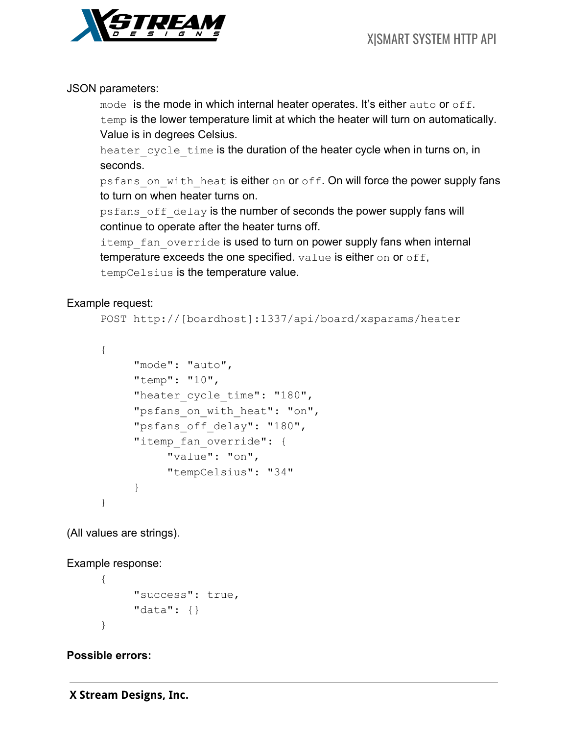

## JSON parameters:

mode is the mode in which internal heater operates. It's either auto or off. temp is the lower temperature limit at which the heater will turn on automatically. Value is in degrees Celsius.

heater cycle time is the duration of the heater cycle when in turns on, in seconds.

psfans on with heat is either on or off. On will force the power supply fans to turn on when heater turns on.

psfans off delay is the number of seconds the power supply fans will continue to operate after the heater turns off.

itemp fan override is used to turn on power supply fans when internal temperature exceeds the one specified. value is either on or off, tempCelsius is the temperature value.

## Example request:

```
POST http://[boardhost]:1337/api/board/xsparams/heater
```

```
{
```

```
"mode": "auto",
"temp": "10",
"heater cycle time": "180",
"psfans on with heat": "on",
"psfans off delay": "180",
"itemp fan override": {
     "value": "on",
     "tempCelsius": "34"
}
```
(All values are strings).

Example response:

}

```
{
     "success": true,
     "data": {}
}
```
## **Possible errors:**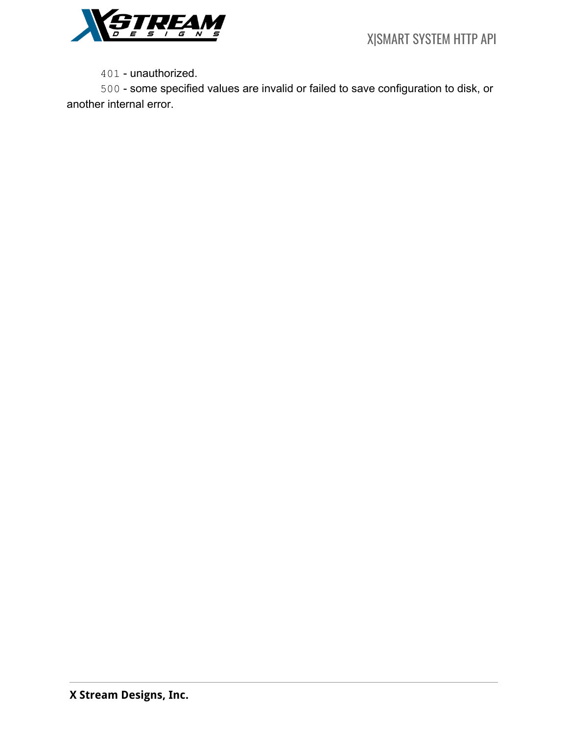

401 - unauthorized.

500 - some specified values are invalid or failed to save configuration to disk, or another internal error.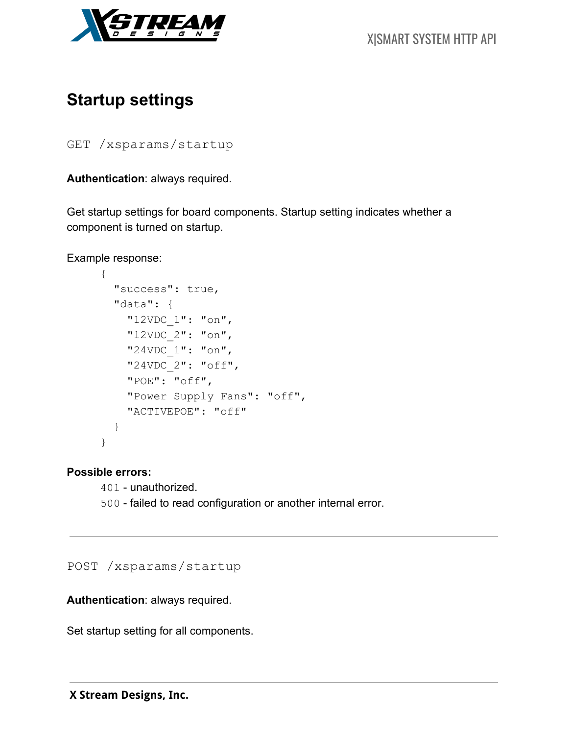

# **Startup settings**

GET /xsparams/startup

**Authentication**: always required.

Get startup settings for board components. Startup setting indicates whether a component is turned on startup.

Example response:

```
{
   "success": true,
   "data": {
     "12VDC_1": "on",
     "12VDC_2": "on",
     "24VDC_1": "on",
     "24VDC_2": "off",
     "POE": "off",
     "Power Supply Fans": "off",
     "ACTIVEPOE": "off"
   }
}
```
**Possible errors:**

401 - unauthorized. 500 - failed to read configuration or another internal error.

POST /xsparams/startup

**Authentication**: always required.

Set startup setting for all components.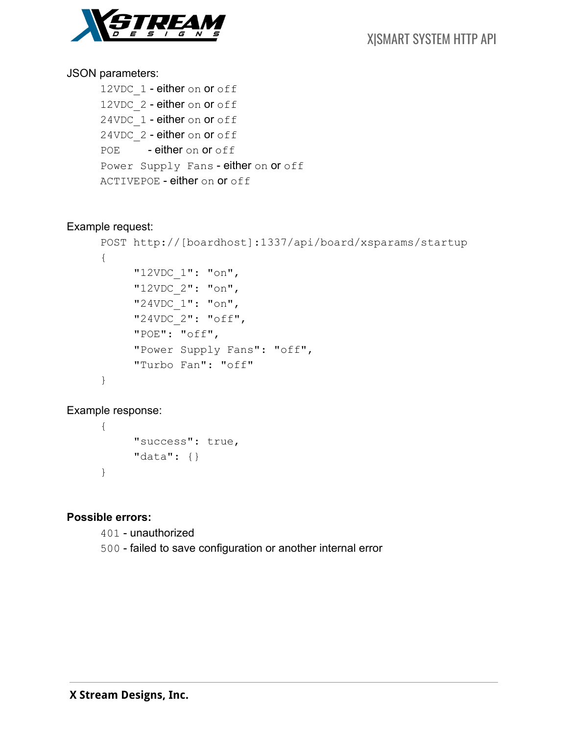

### JSON parameters:

12VDC 1 - either on or off 12VDC 2 - either on or off 24VDC 1 - either on or off 24VDC 2 - either on or off POE - either on or off Power Supply Fans - either on or off ACTIVEPOE - either on or off

### Example request:

```
POST http://[boardhost]:1337/api/board/xsparams/startup
{
     "12VDC_1": "on",
     "12VDC_2": "on",
     "24VDC_1": "on",
     "24VDC_2": "off",
     "POE": "off",
     "Power Supply Fans": "off",
     "Turbo Fan": "off"
}
```
## Example response:

{ "success": true, "data": {} }

## **Possible errors:**

401 - unauthorized

500 - failed to save configuration or another internal error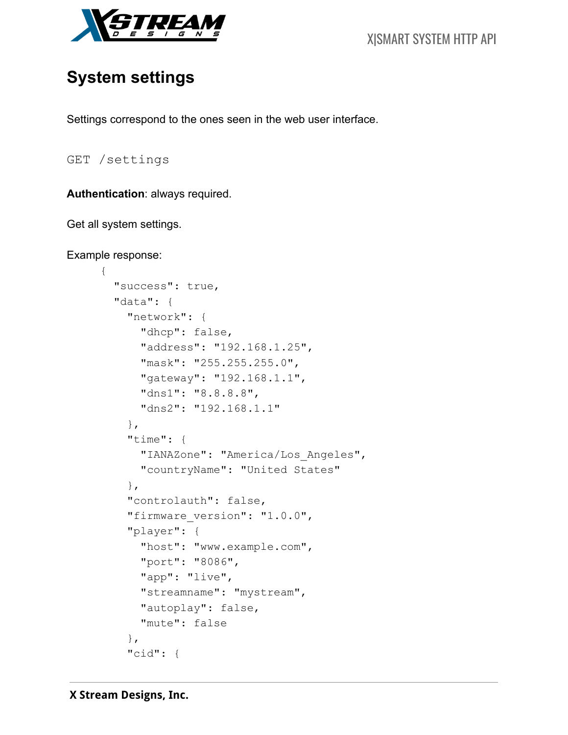

# **System settings**

Settings correspond to the ones seen in the web user interface.

GET /settings

**Authentication**: always required.

Get all system settings.

```
Example response:
```
{

```
 "success": true,
 "data": {
   "network": {
     "dhcp": false,
     "address": "192.168.1.25",
     "mask": "255.255.255.0",
     "gateway": "192.168.1.1",
     "dns1": "8.8.8.8",
     "dns2": "192.168.1.1"
   },
   "time": {
     "IANAZone": "America/Los_Angeles",
     "countryName": "United States"
   },
   "controlauth": false,
  "firmware version": "1.0.0",
   "player": {
     "host": "www.example.com",
     "port": "8086",
     "app": "live",
     "streamname": "mystream",
     "autoplay": false,
     "mute": false
   },
   "cid": {
```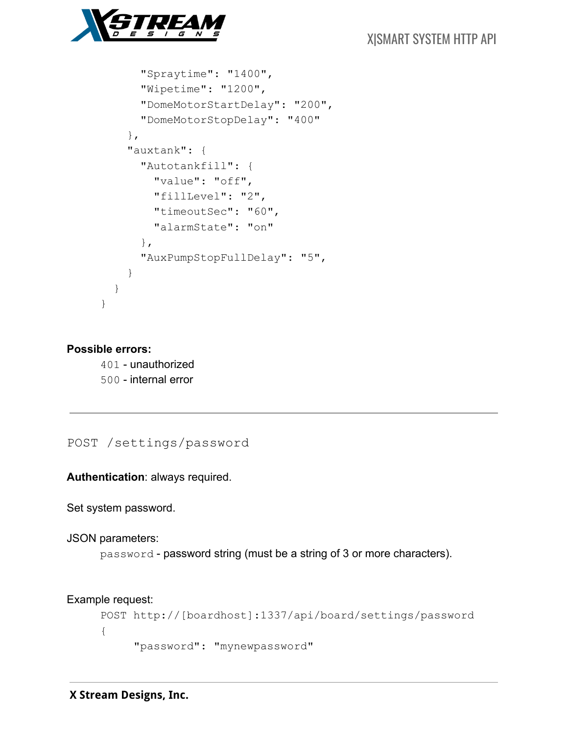

```
 "Spraytime": "1400",
       "Wipetime": "1200",
       "DomeMotorStartDelay": "200",
       "DomeMotorStopDelay": "400"
     },
     "auxtank": {
       "Autotankfill": {
         "value": "off",
         "fillLevel": "2",
         "timeoutSec": "60",
         "alarmState": "on"
       },
       "AuxPumpStopFullDelay": "5",
     }
   }
}
```
#### **Possible errors:**

401 - unauthorized 500 - internal error

POST /settings/password

**Authentication**: always required.

Set system password.

JSON parameters:

password - password string (must be a string of 3 or more characters).

```
Example request:
```

```
POST http://[boardhost]:1337/api/board/settings/password
{
     "password": "mynewpassword"
```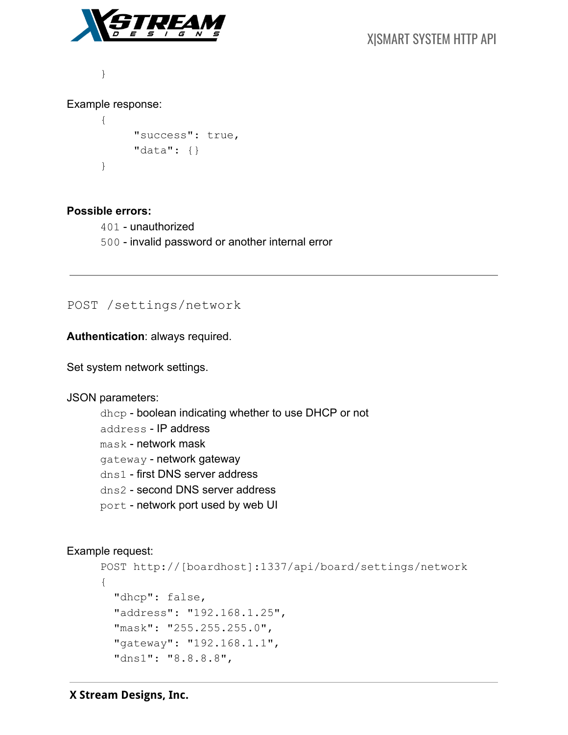

}

### Example response:

```
{
     "success": true,
     "data": {}
}
```
### **Possible errors:**

401 - unauthorized 500 - invalid password or another internal error

### POST /settings/network

**Authentication**: always required.

Set system network settings.

#### JSON parameters:

dhcp - boolean indicating whether to use DHCP or not address - IP address mask - network mask gateway - network gateway dns1 - first DNS server address dns2 - second DNS server address port - network port used by web UI

#### Example request:

```
POST http://[boardhost]:1337/api/board/settings/network
{
   "dhcp": false,
   "address": "192.168.1.25",
   "mask": "255.255.255.0",
   "gateway": "192.168.1.1",
   "dns1": "8.8.8.8",
```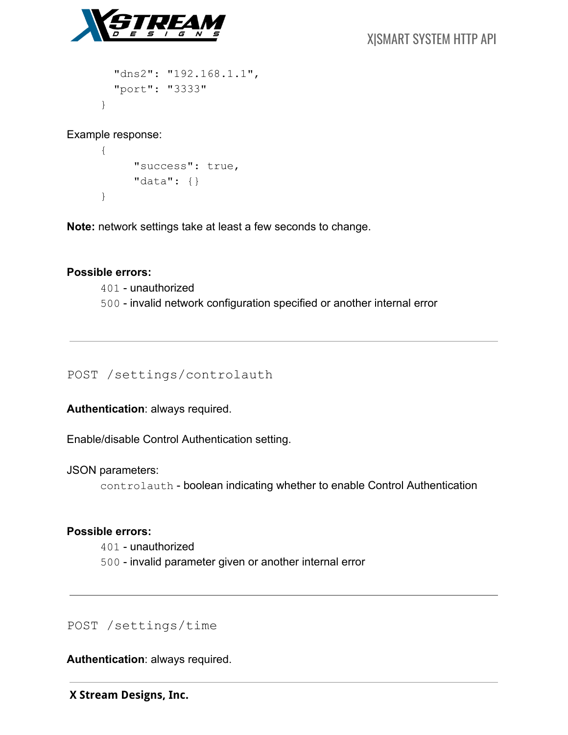

 "dns2": "192.168.1.1", "port": "3333"

Example response:

}

```
{
     "success": true,
     "data": {}
}
```
**Note:** network settings take at least a few seconds to change.

### **Possible errors:**

401 - unauthorized 500 - invalid network configuration specified or another internal error

POST /settings/controlauth

**Authentication**: always required.

Enable/disable Control Authentication setting.

JSON parameters:

controlauth - boolean indicating whether to enable Control Authentication

### **Possible errors:**

401 - unauthorized 500 - invalid parameter given or another internal error

POST /settings/time

**Authentication**: always required.

 **X Stream Designs, Inc.**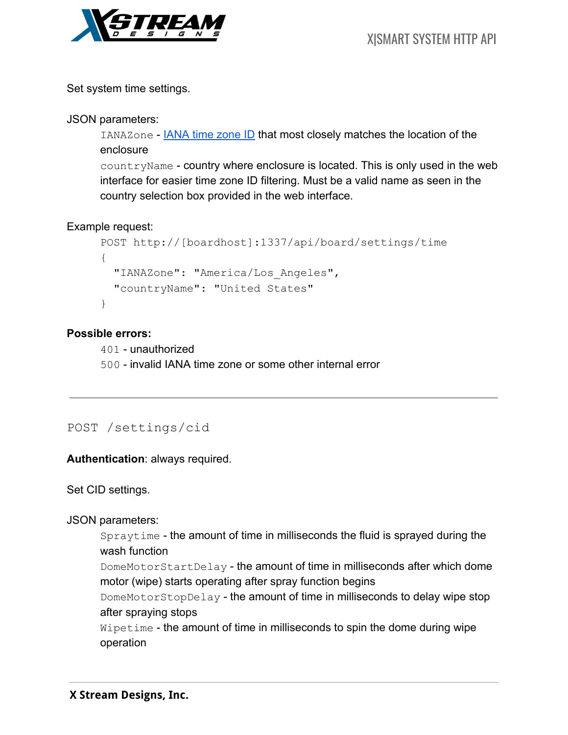

Set system time settings.

JSON parameters:

IANAZone - **IANA time zone ID that most closely matches the location of the** enclosure

countryName - country where enclosure is located. This is only used in the web interface for easier time zone ID filtering. Must be a valid name as seen in the country selection box provided in the web interface.

Example request:

```
POST http://[boardhost]:1337/api/board/settings/time
{
   "IANAZone": "America/Los_Angeles",
   "countryName": "United States"
}
```
## **Possible errors:**

401 - unauthorized 500 - invalid IANA time zone or some other internal error

POST /settings/cid

**Authentication**: always required.

Set CID settings.

JSON parameters:

Spraytime - the amount of time in milliseconds the fluid is sprayed during the wash function

DomeMotorStartDelay - the amount of time in milliseconds after which dome motor (wipe) starts operating after spray function begins

DomeMotorStopDelay - the amount of time in milliseconds to delay wipe stop after spraying stops

Wipetime - the amount of time in milliseconds to spin the dome during wipe operation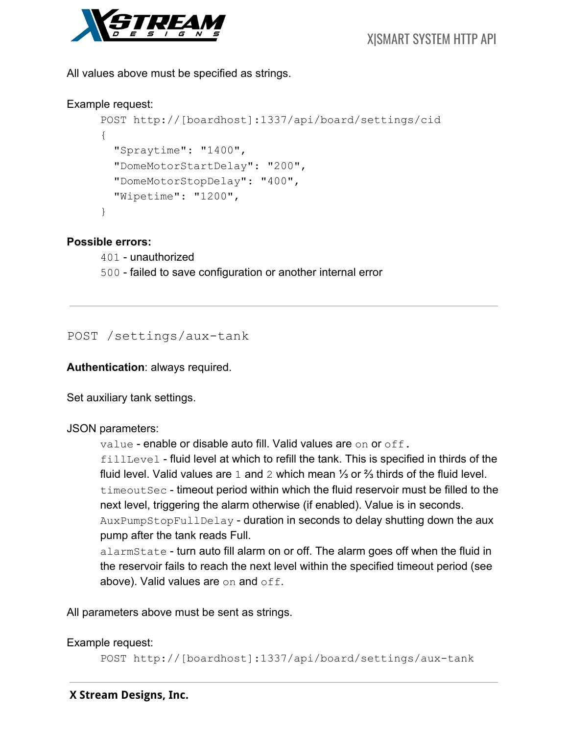

All values above must be specified as strings.

### Example request:

```
POST http://[boardhost]:1337/api/board/settings/cid
{
   "Spraytime": "1400",
   "DomeMotorStartDelay": "200",
   "DomeMotorStopDelay": "400",
   "Wipetime": "1200",
}
```
### **Possible errors:**

401 - unauthorized 500 - failed to save configuration or another internal error

POST /settings/aux-tank

**Authentication**: always required.

Set auxiliary tank settings.

## JSON parameters:

value - enable or disable auto fill. Valid values are on or off.

fillLevel - fluid level at which to refill the tank. This is specified in thirds of the fluid level. Valid values are 1 and 2 which mean ⅓ or ⅔ thirds of the fluid level. timeoutSec - timeout period within which the fluid reservoir must be filled to the next level, triggering the alarm otherwise (if enabled). Value is in seconds. AuxPumpStopFullDelay - duration in seconds to delay shutting down the aux pump after the tank reads Full.

alarmState - turn auto fill alarm on or off. The alarm goes off when the fluid in the reservoir fails to reach the next level within the specified timeout period (see above). Valid values are on and off.

All parameters above must be sent as strings.

Example request:

```
POST http://[boardhost]:1337/api/board/settings/aux-tank
```